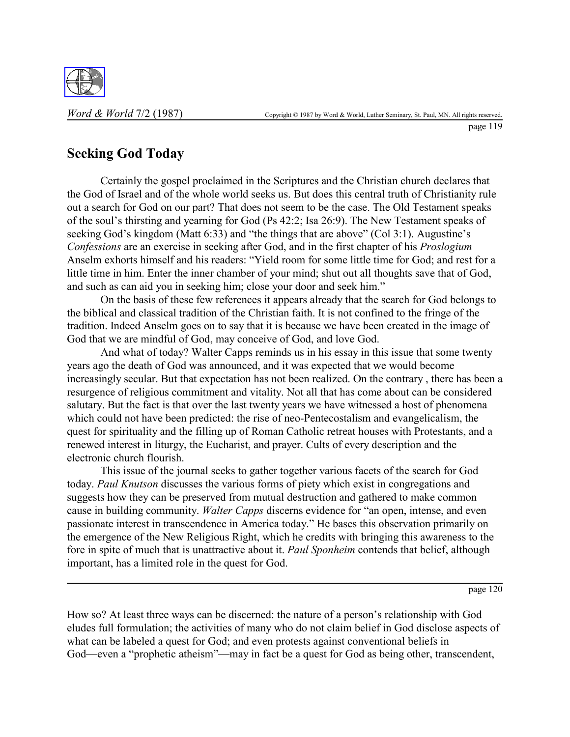

page 119

## **Seeking God Today**

Certainly the gospel proclaimed in the Scriptures and the Christian church declares that the God of Israel and of the whole world seeks us. But does this central truth of Christianity rule out a search for God on our part? That does not seem to be the case. The Old Testament speaks of the soul's thirsting and yearning for God (Ps 42:2; Isa 26:9). The New Testament speaks of seeking God's kingdom (Matt  $6:33$ ) and "the things that are above" (Col 3:1). Augustine's *Confessions* are an exercise in seeking after God, and in the first chapter of his *Proslogium* Anselm exhorts himself and his readers: "Yield room for some little time for God; and rest for a little time in him. Enter the inner chamber of your mind; shut out all thoughts save that of God, and such as can aid you in seeking him; close your door and seek him."

On the basis of these few references it appears already that the search for God belongs to the biblical and classical tradition of the Christian faith. It is not confined to the fringe of the tradition. Indeed Anselm goes on to say that it is because we have been created in the image of God that we are mindful of God, may conceive of God, and love God.

And what of today? Walter Capps reminds us in his essay in this issue that some twenty years ago the death of God was announced, and it was expected that we would become increasingly secular. But that expectation has not been realized. On the contrary , there has been a resurgence of religious commitment and vitality. Not all that has come about can be considered salutary. But the fact is that over the last twenty years we have witnessed a host of phenomena which could not have been predicted: the rise of neo-Pentecostalism and evangelicalism, the quest for spirituality and the filling up of Roman Catholic retreat houses with Protestants, and a renewed interest in liturgy, the Eucharist, and prayer. Cults of every description and the electronic church flourish.

This issue of the journal seeks to gather together various facets of the search for God today. *Paul Knutson* discusses the various forms of piety which exist in congregations and suggests how they can be preserved from mutual destruction and gathered to make common cause in building community. *Walter Capps* discerns evidence for "an open, intense, and even passionate interest in transcendence in America today." He bases this observation primarily on the emergence of the New Religious Right, which he credits with bringing this awareness to the fore in spite of much that is unattractive about it. *Paul Sponheim* contends that belief, although important, has a limited role in the quest for God.

page 120

How so? At least three ways can be discerned: the nature of a person's relationship with God eludes full formulation; the activities of many who do not claim belief in God disclose aspects of what can be labeled a quest for God; and even protests against conventional beliefs in God—even a "prophetic atheism"—may in fact be a quest for God as being other, transcendent,